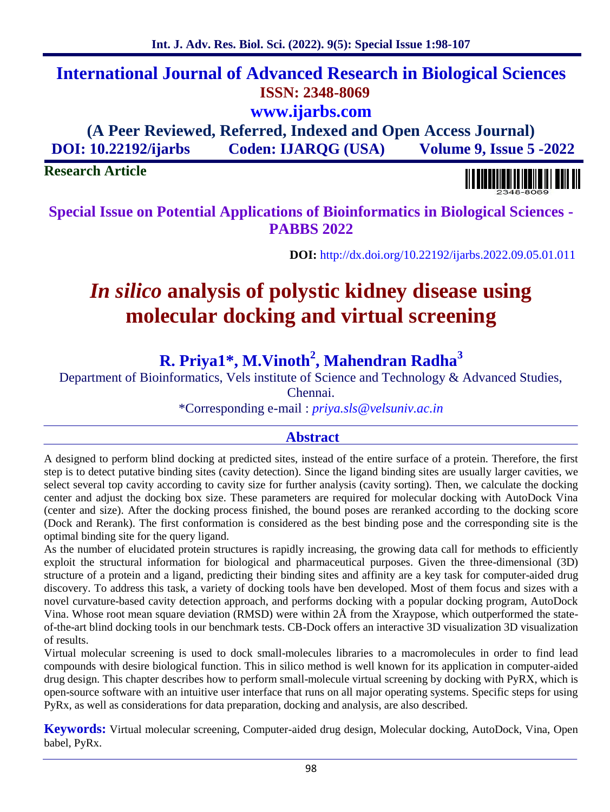## **International Journal of Advanced Research in Biological Sciences ISSN: 2348-8069 www.ijarbs.com**

**(A Peer Reviewed, Referred, Indexed and Open Access Journal) DOI: 10.22192/ijarbs Coden: IJARQG (USA) Volume 9, Issue 5 -2022**

**Research Article**

**Special Issue on Potential Applications of Bioinformatics in Biological Sciences - PABBS 2022**

**DOI:** http://dx.doi.org/10.22192/ijarbs.2022.09.05.01.011

# *In silico* **analysis of polystic kidney disease using molecular docking and virtual screening**

## **R. Priya1\*, M.Vinoth<sup>2</sup> , Mahendran Radha<sup>3</sup>**

Department of Bioinformatics, Vels institute of Science and Technology & Advanced Studies,

Chennai.

\*Corresponding e-mail : *priya.sls@velsuniv.ac.in*

## **Abstract**

A designed to perform blind docking at predicted sites, instead of the entire surface of a protein. Therefore, the first step is to detect putative binding sites (cavity detection). Since the ligand binding sites are usually larger cavities, we select several top cavity according to cavity size for further analysis (cavity sorting). Then, we calculate the docking center and adjust the docking box size. These parameters are required for molecular docking with AutoDock Vina (center and size). After the docking process finished, the bound poses are reranked according to the docking score (Dock and Rerank). The first conformation is considered as the best binding pose and the corresponding site is the optimal binding site for the query ligand.

As the number of elucidated protein structures is rapidly increasing, the growing data call for methods to efficiently exploit the structural information for biological and pharmaceutical purposes. Given the three-dimensional (3D) structure of a protein and a ligand, predicting their binding sites and affinity are a key task for computer-aided drug discovery. To address this task, a variety of docking tools have ben developed. Most of them focus and sizes with a novel curvature-based cavity detection approach, and performs docking with a popular docking program, AutoDock Vina. Whose root mean square deviation (RMSD) were within 2Å from the Xraypose, which outperformed the state of-the-art blind docking tools in our benchmark tests. CB-Dock offers an interactive 3D visualization 3D visualization of results.

Virtual molecular screening is used to dock small-molecules libraries to a macromolecules in order to find lead compounds with desire biological function. This in silico method is well known for its application in computer-aided drug design. This chapter describes how to perform small-molecule virtual screening by docking with PyRX, which is open-source software with an intuitive user interface that runs on all major operating systems. Specific steps for using PyRx, as well as considerations for data preparation, docking and analysis, are also described.

**Keywords:** Virtual molecular screening, Computer-aided drug design, Molecular docking, AutoDock, Vina, Open babel, PyRx.

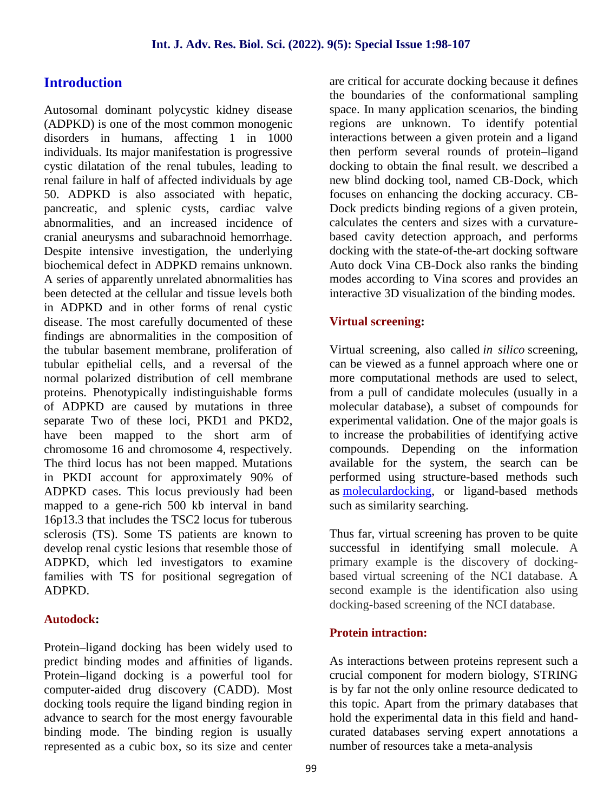## **Introduction**

Autosomal dominant polycystic kidney disease (ADPKD) is one of the most common monogenic disorders in humans, affecting 1 in 1000 individuals. Its major manifestation is progressive cystic dilatation of the renal tubules, leading to renal failure in half of affected individuals by age 50. ADPKD is also associated with hepatic, pancreatic, and splenic cysts, cardiac valve abnormalities, and an increased incidence of cranial aneurysms and subarachnoid hemorrhage. Despite intensive investigation, the underlying biochemical defect in ADPKD remains unknown. A series of apparently unrelated abnormalities has been detected at the cellular and tissue levels both in ADPKD and in other forms of renal cystic disease. The most carefully documented of these findings are abnormalities in the composition of the tubular basement membrane, proliferation of tubular epithelial cells, and a reversal of the normal polarized distribution of cell membrane proteins. Phenotypically indistinguishable forms of ADPKD are caused by mutations in three separate Two of these loci, PKD1 and PKD2, have been mapped to the short arm of chromosome 16 and chromosome 4, respectively. The third locus has not been mapped. Mutations in PKDI account for approximately 90% of ADPKD cases. This locus previously had been mapped to a gene-rich 500 kb interval in band 16p13.3 that includes the TSC2 locus for tuberous sclerosis (TS). Some TS patients are known to develop renal cystic lesions that resemble those of ADPKD, which led investigators to examine families with TS for positional segregation of ADPKD.

#### **Autodock:**

Protein–ligand docking has been widely used to predict binding modes and affinities of ligands. Protein–ligand docking is a powerful tool for computer-aided drug discovery (CADD). Most docking tools require the ligand binding region in advance to search for the most energy favourable binding mode. The binding region is usually represented as a cubic box, so its size and center are critical for accurate docking because it defines the boundaries of the conformational sampling space. In many application scenarios, the binding regions are unknown. To identify potential interactions between a given protein and a ligand then perform several rounds of protein–ligand docking to obtain the final result. we described a new blind docking tool, named CB-Dock, which focuses on enhancing the docking accuracy. CB- Dock predicts binding regions of a given protein, calculates the centers and sizes with a curvature based cavity detection approach, and performs docking with the state-of-the-art docking software Auto dock Vina CB-Dock also ranks the binding modes according to Vina scores and provides an interactive 3D visualization of the binding modes.

#### **Virtual screening:**

Virtual screening, also called *in silico* screening, can be viewed as a funnel approach where one or more computational methods are used to select, from a pull of candidate molecules (usually in a molecular database), a subset of compounds for experimental validation. One of the major goals is to increase the probabilities of identifying active compounds. Depending on the information available for the system, the search can be performed using structure-based methods such as moleculardocking, or ligand-based methods such as similarity searching.

Thus far, virtual screening has proven to be quite successful in identifying small molecule. A primary example is the discovery of docking based virtual screening of the NCI database. A second example is the identification also using docking-based screening of the NCI database.

#### **Protein intraction:**

As interactions between proteins represent such a crucial component for modern biology, STRING is by far not the only online resource dedicated to this topic. Apart from the primary databases that hold the experimental data in this field and hand curated databases serving expert annotations a number of resources take a meta-analysis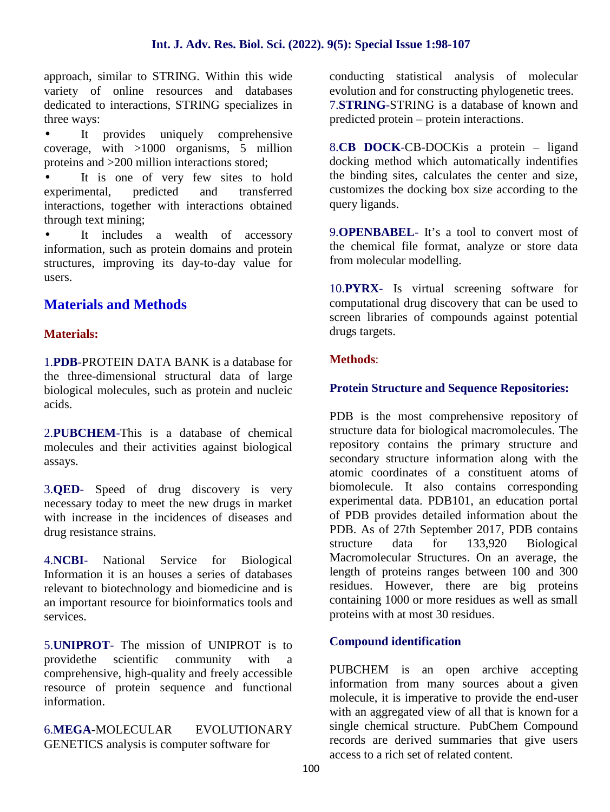approach, similar to STRING. Within this wide variety of online resources and databases dedicated to interactions, STRING specializes in three ways:

 It provides uniquely comprehensive coverage, with >1000 organisms, 5 million proteins and >200 million interactions stored;

It is one of very few sites to hold experimental, predicted and transferred interactions, together with interactions obtained through text mining;

 It includes a wealth of accessory information, such as protein domains and protein structures, improving its day-to-day value for users.

## **Materials and Methods**

#### **Materials:**

1.**PDB**-PROTEIN DATA BANK is a database for the three-dimensional structural data of large biological molecules, such as protein and nucleic acids.

2.**PUBCHEM**-This is a database of chemical molecules and their activities against biological assays.

3.**QED**- Speed of drug discovery is very necessary today to meet the new drugs in market with increase in the incidences of diseases and drug resistance strains.

4.**NCBI**- National Service for Biological Information it is an houses a series of databases relevant to biotechnology and biomedicine and is an important resource for bioinformatics tools and services.

5.**UNIPROT**- The mission of UNIPROT is to providethe scientific community with a comprehensive, high-quality and freely accessible resource of protein sequence and functional information.

6.**MEGA**-MOLECULAR EVOLUTIONARY GENETICS analysis is computer software for

conducting statistical analysis of molecular evolution and for constructing phylogenetic trees. 7.**STRING**-STRING is a database of known and predicted protein – protein interactions.

8.**CB DOCK**-CB-DOCKis a protein – ligand docking method which automatically indentifies the binding sites, calculates the center and size, customizes the docking box size according to the query ligands.

9.**OPENBABEL**- It's a tool to convert most of the chemical file format, analyze or store data from molecular modelling.

10.**PYRX**- Is virtual screening software for computational drug discovery that can be used to screen libraries of compounds against potential drugs targets.

#### **Methods**:

#### **Protein Structure and Sequence Repositories:**

PDB is the most comprehensive repository of structure data for biological macromolecules. The repository contains the primary structure and secondary structure information along with the atomic coordinates of a constituent atoms of biomolecule. It also contains corresponding experimental data. PDB101, an education portal of PDB provides detailed information about the PDB. As of 27th September 2017, PDB contains structure data for 133,920 Biological Macromolecular Structures. On an average, the length of proteins ranges between 100 and 300 residues. However, there are big proteins containing 1000 or more residues as well as small proteins with at most 30 residues.

#### **Compound identification**

PUBCHEM is an open archive accepting information from many sources about a given molecule, it is imperative to provide the end-user with an aggregated view of all that is known for a single chemical structure. PubChem Compound records are derived summaries that give users access to a rich set of related content.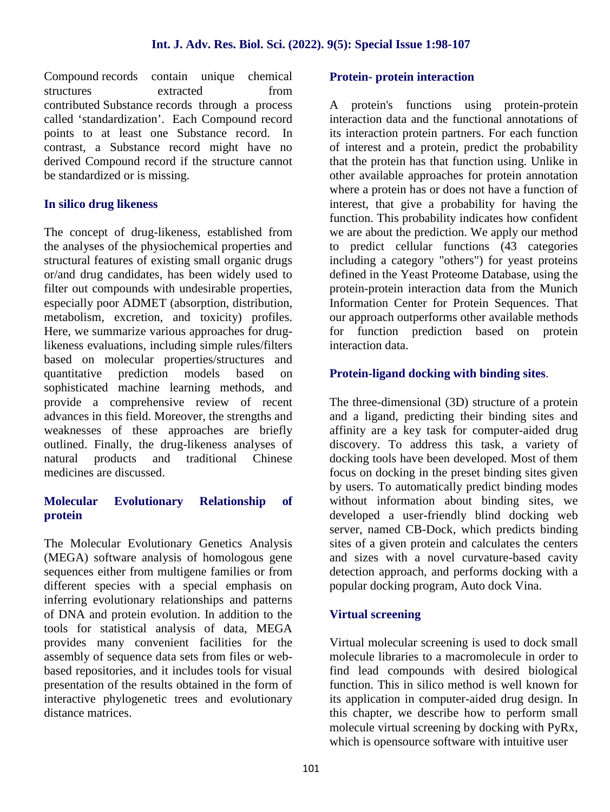Compound records contain unique chemical structures extracted from contributed Substance records through a process called 'standardization'. Each Compound record points to at least one Substance record. In contrast, a Substance record might have no derived Compound record if the structure cannot be standardized or is missing.

#### **In silico drug likeness**

The concept of drug-likeness, established from the analyses of the physiochemical properties and structural features of existing small organic drugs or/and drug candidates, has been widely used to filter out compounds with undesirable properties, especially poor ADMET (absorption, distribution, metabolism, excretion, and toxicity) profiles. Here, we summarize various approaches for druglikeness evaluations, including simple rules/filters based on molecular properties/structures and quantitative prediction models based on sophisticated machine learning methods, and provide a comprehensive review of recent advances in this field. Moreover, the strengths and weaknesses of these approaches are briefly outlined. Finally, the drug-likeness analyses of natural products and traditional Chinese medicines are discussed.

#### **Molecular Evolutionary Relationship of protein**

The Molecular Evolutionary Genetics Analysis (MEGA) software analysis of homologous gene sequences either from multigene families or from different species with a special emphasis on inferring evolutionary relationships and patterns of DNA and protein evolution. In addition to the tools for statistical analysis of data, MEGA provides many convenient facilities for the assembly of sequence data sets from files or web based repositories, and it includes tools for visual presentation of the results obtained in the form of interactive phylogenetic trees and evolutionary distance matrices.

#### **Protein- protein interaction**

A protein's functions using protein-protein interaction data and the functional annotations of its interaction protein partners. For each function of interest and a protein, predict the probability that the protein has that function using. Unlike in other available approaches for protein annotation where a protein has or does not have a function of interest, that give a probability for having the function. This probability indicates how confident we are about the prediction. We apply our method to predict cellular functions (43 categories including a category "others") for yeast proteins defined in the Yeast Proteome Database, using the protein-protein interaction data from the Munich Information Center for Protein Sequences. That our approach outperforms other available methods for function prediction based on protein interaction data.

#### **Protein-ligand docking with binding sites**.

The three-dimensional (3D) structure of a protein and a ligand, predicting their binding sites and affinity are a key task for computer-aided drug discovery. To address this task, a variety of docking tools have been developed. Most of them focus on docking in the preset binding sites given by users. To automatically predict binding modes without information about binding sites, we developed a user-friendly blind docking web server, named CB-Dock, which predicts binding sites of a given protein and calculates the centers and sizes with a novel curvature-based cavity detection approach, and performs docking with a popular docking program, Auto dock Vina.

#### **Virtual screening**

Virtual molecular screening is used to dock small molecule libraries to a macromolecule in order to find lead compounds with desired biological function. This in silico method is well known for its application in computer-aided drug design. In this chapter, we describe how to perform small molecule virtual screening by docking with PyRx, which is opensource software with intuitive user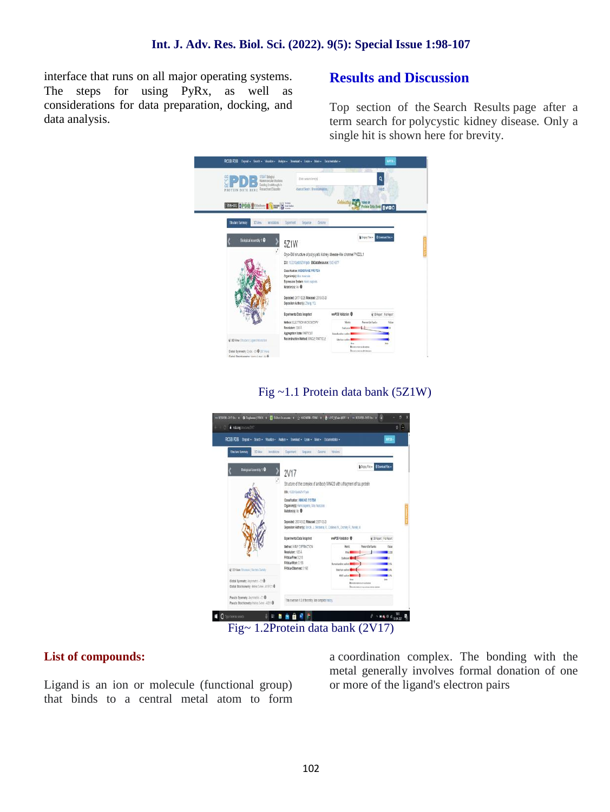interface that runs on all major operating systems. The steps for using PyRx, as well as considerations for data preparation, docking, and data analysis.

## **Results and Discussion**

Top section of the Search Results page after a term search for polycystic kidney disease*.* Only a single hit is shown here for brevity.

| RCSB PDB Depail + Seach + Visualiz + Assiya + Downood + Lean + Disc + Documentation +                                        |                                                                    |                                          |                                                      | With- |
|------------------------------------------------------------------------------------------------------------------------------|--------------------------------------------------------------------|------------------------------------------|------------------------------------------------------|-------|
| <b>ITSHT Belastical</b><br><b>Uasso No da Strutura</b><br>rivinositiest oskat<br>Research and Education<br>PROTEIN DATA RANK | Extraoutional<br>Abstractived international                        |                                          | ٩<br>list.<br><b>Allerta natus on</b>                |       |
| The top oppose the same of the special                                                                                       |                                                                    |                                          | <b><i><u>Protein Bank Eyr DO</u></i></b>             |       |
| <b>Structure Summary</b><br>33 Sec.<br>Annielosi                                                                             | General<br>Exeiren<br>Separa-                                      |                                          |                                                      |       |
|                                                                                                                              |                                                                    |                                          | <b>Institute Sounders</b>                            |       |
| Biological Assembly 1 0                                                                                                      | 5Z1W                                                               |                                          |                                                      |       |
|                                                                                                                              | Cryo-EM structure of polycystic kidney disease-like channel PKD2L1 |                                          |                                                      |       |
|                                                                                                                              | DOC 18.2210 yds 5211/10th EMOUGIResource: EMD 6877                 |                                          |                                                      |       |
|                                                                                                                              | Contingent URURAINE PROTEIN                                        |                                          |                                                      |       |
|                                                                                                                              | Drganism(s); Mas musculus<br>Expression System: nono supers        |                                          |                                                      |       |
|                                                                                                                              | Mutationist No. 0                                                  |                                          |                                                      |       |
|                                                                                                                              | Deposited: 2017-12-25 Released: 2018-05-26                         |                                          |                                                      |       |
|                                                                                                                              | Deposition Authorisis Zhara Y.O.                                   |                                          |                                                      |       |
|                                                                                                                              | Experimental Data Seagahot                                         | w/ROB Validation ®                       | @30 keet Felikert                                    |       |
|                                                                                                                              | Method: FLFCTRON MCROSCOPY                                         | <b>Mais</b>                              | Percentile Radia                                     | Wa    |
|                                                                                                                              | Resolution: 138 Å<br>Appropries State: FARTICLE                    | Debury <sup>1</sup><br>ling faster sales | u                                                    |       |
| @ 3D Vew Studes (Lowd Hunsdor)                                                                                               | Reconstruction Method: SINGLE FARTICLE                             | Sitcher scient                           |                                                      |       |
|                                                                                                                              |                                                                    |                                          | <b>Longerous</b> adjuster.<br><b>Instrument Bank</b> |       |
| Slous Symmetry, Crobe-C4@ (All Veni)<br>Elvine Becchinmann (son) 2 mai . 3.1 ft.                                             |                                                                    |                                          |                                                      |       |

## Fig ~1.1 Protein data bank (5Z1W)



## Fig~ 1.2Protein data bank (2V17)

#### **List of compounds:**

Ligand is an ion or molecule (functional group) that binds to a central metal atom to form

a coordination complex. The bonding with the metal generally involves formal donation of one or more of the ligand's electron pairs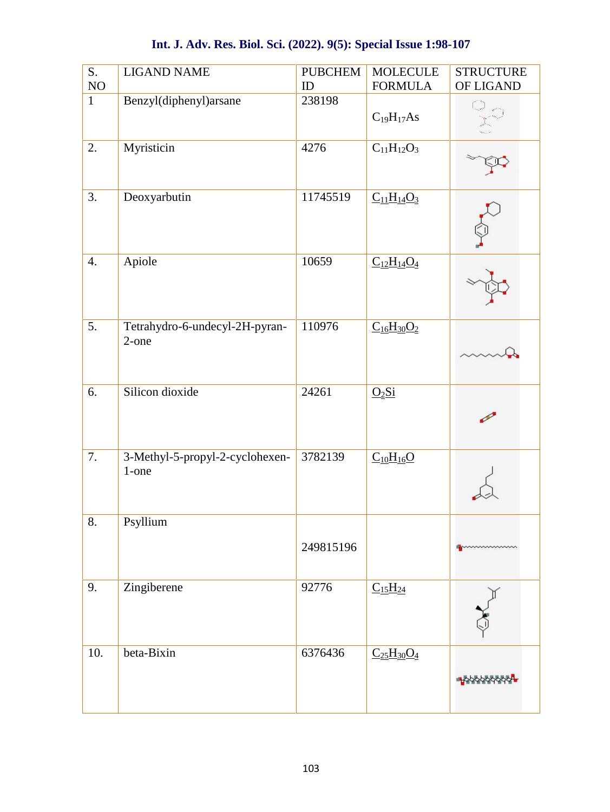| S.           | <b>LIGAND NAME</b>                       | <b>PUBCHEM</b> | <b>MOLECULE</b>   | <b>STRUCTURE</b>  |
|--------------|------------------------------------------|----------------|-------------------|-------------------|
| $\rm NO$     |                                          | ID             | <b>FORMULA</b>    | OF LIGAND         |
| $\mathbf{1}$ | Benzyl(diphenyl)arsane                   | 238198         | $C_{19}H_{17}As$  | CD                |
| 2.           | Myristicin                               | 4276           | $C_{11}H_{12}O_3$ |                   |
| 3.           | Deoxyarbutin                             | 11745519       | $C_{11}H_{14}O_3$ |                   |
| 4.           | Apiole                                   | 10659          | $C_{12}H_{14}O_4$ |                   |
| 5.           | Tetrahydro-6-undecyl-2H-pyran-<br>2-one  | 110976         | $C_{16}H_{30}O_2$ |                   |
| 6.           | Silicon dioxide                          | 24261          | $Q_2Si$           |                   |
| 7.           | 3-Methyl-5-propyl-2-cyclohexen-<br>1-one | 3782139        | $C_{10}H_{16}O$   |                   |
| 8.           | Psyllium                                 | 249815196      |                   | processorescences |
| 9.           | Zingiberene                              | 92776          | $C_{15}H_{24}$    |                   |
| 10.          | beta-Bixin                               | 6376436        | $C_{25}H_{30}O_4$ |                   |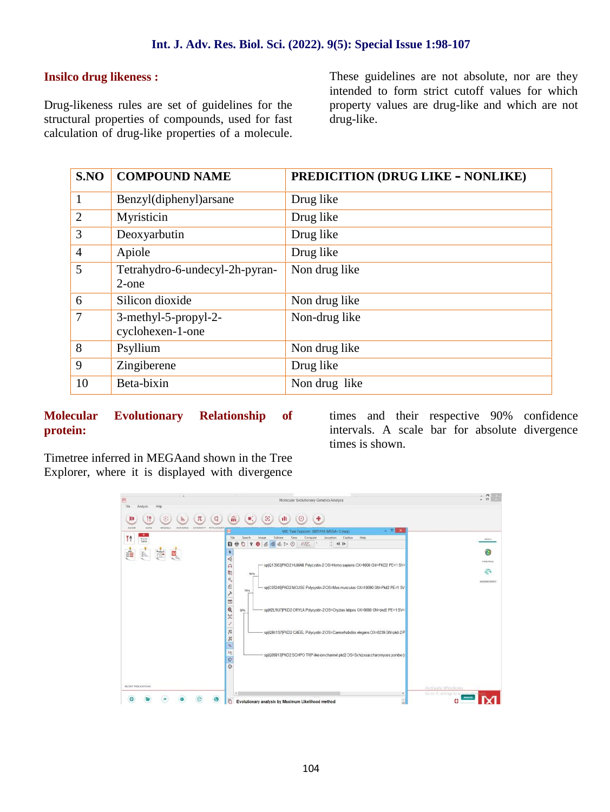#### **Insilco drug likeness :**

Drug-likeness rules are set of guidelines for the structural properties of compounds, used for fast calculation of drug-like properties of a molecule.

These guidelines are not absolute, nor are they intended to form strict cutoff values for which property values are drug-like and which are not drug-like.

| S.NO           | <b>COMPOUND NAME</b>                        | <b>PREDICITION (DRUG LIKE - NONLIKE)</b> |
|----------------|---------------------------------------------|------------------------------------------|
| $\mathbf{1}$   | Benzyl(diphenyl)arsane                      | Drug like                                |
| 2              | Myristicin                                  | Drug like                                |
| 3              | Deoxyarbutin                                | Drug like                                |
| $\overline{4}$ | Apiole                                      | Drug like                                |
| 5              | Tetrahydro-6-undecyl-2h-pyran-<br>$2$ -one  | Non drug like                            |
| 6              | Silicon dioxide                             | Non drug like                            |
| 7              | $3$ -methyl-5-propyl-2-<br>cyclohexen-1-one | Non-drug like                            |
| 8              | Psyllium                                    | Non drug like                            |
| 9              | Zingiberene                                 | Drug like                                |
| 10             | Beta-bixin                                  | Non drug like                            |

#### **Molecular Evolutionary Relationship of protein:**

times and their respective 90% confidence intervals. A scale bar for absolute divergence times is shown.

Timetree inferred in MEGAand shown in the Tree Explorer, where it is displayed with divergence

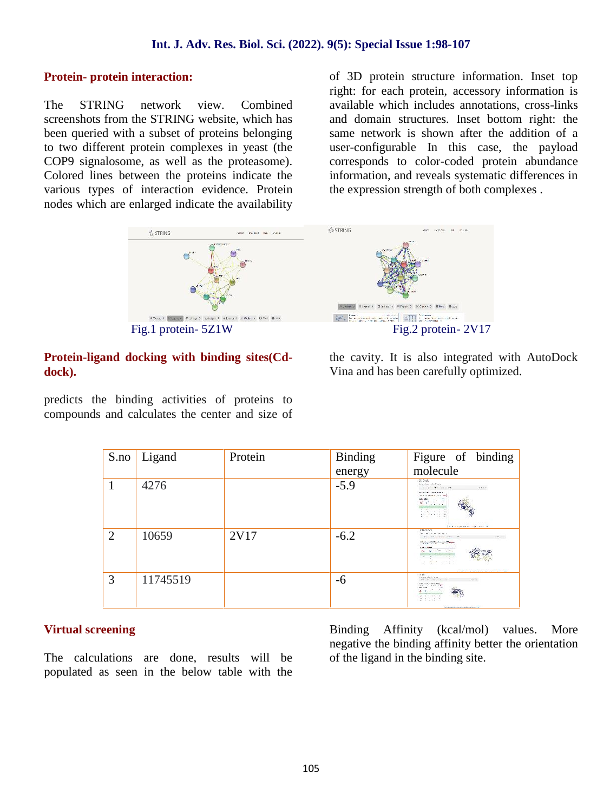#### **Protein- protein interaction:**

The STRING network view. Combined screenshots from the STRING website, which has been queried with a subset of proteins belonging to two different protein complexes in yeast (the COP9 signalosome, as well as the proteasome). Colored lines between the proteins indicate the various types of interaction evidence. Protein nodes which are enlarged indicate the availability

of 3D protein structure information. Inset top right: for each protein, accessory information is available which includes annotations, cross-links and domain structures. Inset bottom right: the same network is shown after the addition of a user-configurable In this case, the payload corresponds to color-coded protein abundance information, and reveals systematic differences in the expression strength of both complexes .



#### **Protein-ligand docking with binding sites(Cd dock).**

predicts the binding activities of proteins to compounds and calculates the center and size of the cavity. It is also integrated with AutoDock Vina and has been carefully optimized.

| S.no                        | Ligand   | Protein | Binding | Figure of binding                                                                                                                                                                                                                                                                                                                                             |
|-----------------------------|----------|---------|---------|---------------------------------------------------------------------------------------------------------------------------------------------------------------------------------------------------------------------------------------------------------------------------------------------------------------------------------------------------------------|
|                             |          |         | energy  | molecule                                                                                                                                                                                                                                                                                                                                                      |
|                             | 4276     |         | $-5.9$  | G hak<br>Perto and region find being<br>the set that the company<br>OTAGE.<br>WERE CURRICULAR WITH SPLE<br>With Lincoln St. Links<br>come allen<br>$\mathcal{L}(T T)$ .<br><b>EALTER</b><br>Silver Lands<br>and a superior companies of the                                                                                                                   |
| $\mathcal{D}_{\mathcal{L}}$ | 10659    | 2V17    | $-6.2$  | CR-Dock<br>The product and constitution of the<br>the the first fire will<br><b>CALCOM</b><br>the contact for the pro-<br><b>STATISTICS</b><br>Contractor of<br>the transfer of the control of the con-<br>the company of the company of the<br><b>COMMUNICATION</b><br>the property of<br>a die scool<br>And March and an Inchester, 2015 and 2016 and 2017. |
| 3                           | 11745519 |         | -6      | $-7 < 1$ k<br>Statement Controller on<br>and the company of the<br>Captical.<br>www.communication.com<br>THE CALIFORNIA PRO<br>sing looks."<br><b>Democratizament</b><br>44,911<br>$\cdots$                                                                                                                                                                   |

#### **Virtual screening**

The calculations are done, results will be populated as seen in the below table with the Binding Affinity (kcal/mol) values. More negative the binding affinity better the orientation of the ligand in the binding site.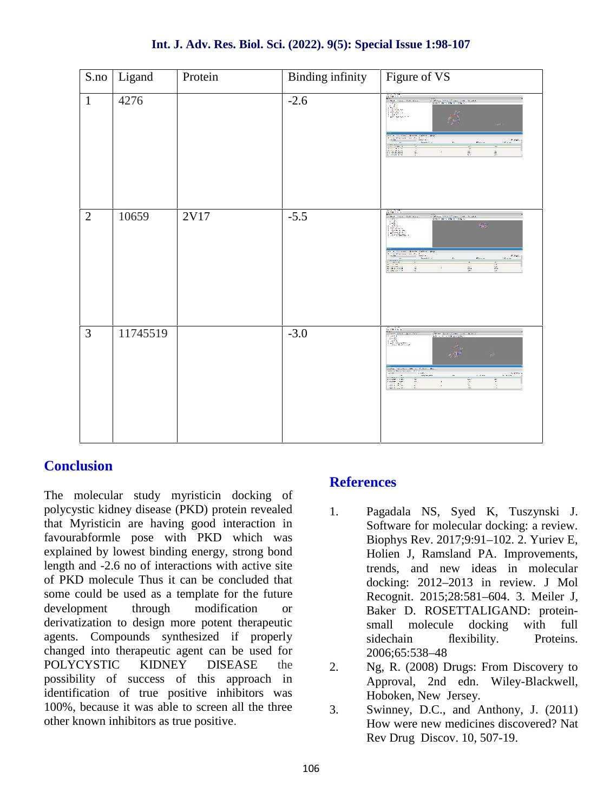| S.no           | Ligand   | Protein | <b>Binding infinity</b> | Figure of VS                                                                                                                                                               |
|----------------|----------|---------|-------------------------|----------------------------------------------------------------------------------------------------------------------------------------------------------------------------|
| $\mathbf{1}$   | 4276     |         | $-2.6$                  | The complete the state<br>$\sim$<br>me on the f<br>$r_{\rm{max}}$<br>i.<br>ă,<br>G.                                                                                        |
| $\overline{2}$ | 10659    | 2V17    | $-5.5$                  | The company of the company of the company<br>H.<br>SO.<br><u> 1920 - 19</u><br>$\sim 100$<br><b>Seri</b><br>Ç.<br>$\frac{\pi}{2}$<br>Ŀ.                                    |
| 3              | 11745519 |         | $-3.0$                  | <b>Viney Long Pr</b><br><b>Announce Line</b><br>$\mathbb{R}_{\mathsf{rem}}$<br>e.<br>A cost of<br>$\frac{m}{2}$<br>$rac{1}{2}$<br>$-12444$<br>W.<br>it it<br>÷<br>$\alpha$ |

## **Conclusion**

The molecular study myristicin docking of polycystic kidney disease (PKD) protein revealed that Myristicin are having good interaction in favourabformle pose with PKD which was explained by lowest binding energy, strong bond length and -2.6 no of interactions with active site of PKD molecule Thus it can be concluded that some could be used as a template for the future development through modification or derivatization to design more potent therapeutic agents. Compounds synthesized if properly changed into therapeutic agent can be used for POLYCYSTIC KIDNEY DISEASE the 2 possibility of success of this approach in identification of true positive inhibitors was 100%, because it was able to screen all the three other known inhibitors as true positive.

## **References**

- 1. Pagadala NS, Syed K, Tuszynski J. Software for molecular docking: a review. Biophys Rev. 2017;9:91–102. 2. Yuriev E, Holien J, Ramsland PA. Improvements, trends, and new ideas in molecular docking: 2012–2013 in review. J Mol Recognit. 2015;28:581–604. 3. Meiler J, Baker D. ROSETTALIGAND: protein small molecule docking with full sidechain flexibility. Proteins. 2006;65:538–48
- Ng, R. (2008) Drugs: From Discovery to Approval, 2nd edn. Wiley-Blackwell, Hoboken, New Jersey.
- Swinney, D.C., and Anthony, J. (2011) How were new medicines discovered? Nat Rev Drug Discov. 10, 507-19.